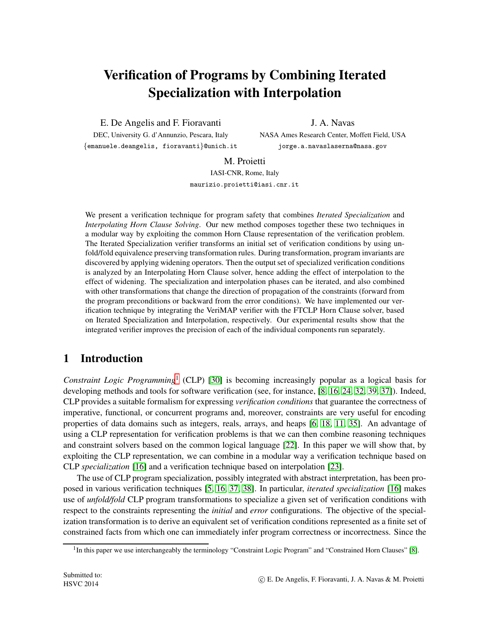# Verification of Programs by Combining Iterated Specialization with Interpolation

E. De Angelis and F. Fioravanti

J. A. Navas

DEC, University G. d'Annunzio, Pescara, Italy {emanuele.deangelis, fioravanti}@unich.it NASA Ames Research Center, Moffett Field, USA jorge.a.navaslaserna@nasa.gov

M. Proietti

IASI-CNR, Rome, Italy maurizio.proietti@iasi.cnr.it

We present a verification technique for program safety that combines *Iterated Specialization* and *Interpolating Horn Clause Solving*. Our new method composes together these two techniques in a modular way by exploiting the common Horn Clause representation of the verification problem. The Iterated Specialization verifier transforms an initial set of verification conditions by using unfold/fold equivalence preserving transformation rules. During transformation, program invariants are discovered by applying widening operators. Then the outputset of specialized verification conditions is analyzed by an Interpolating Horn Clause solver, hence adding the effect of interpolation to the effect of widening. The specialization and interpolation phases can be iterated, and also combined with other transformations that change the direction of propagation of the constraints (forward from the program preconditions or backward from the error conditions). We have implemented our verification technique by integrating the VeriMAP verifier with the FTCLP Horn Clause solver, based on Iterated Specialization and Interpolation, respectively. Our experimental results show that the integrated verifier improves the precision of each of the individual components run separately.

## 1 Introduction

*Constraint Logic Programming*[1](#page-0-0) (CLP) [\[30\]](#page-14-0) is becoming increasingly popular as a logical basis for developing methods and tools for software verification (see, for instance, [\[8,](#page-13-0) [16,](#page-13-1) [24,](#page-14-1) [32,](#page-14-2) [39,](#page-15-0) [37\]](#page-15-1)). Indeed, CLP provides a suitable formalism for expressing *verification conditions* that guarantee the correctness of imperative, functional, or concurrent programs and, moreover, constraints are very useful for encoding properties of data domains such as integers, reals, arrays, and heaps [\[6,](#page-13-2) [18,](#page-14-3) [11,](#page-13-3) [35\]](#page-14-4). An advantage of using a CLP representation for verification problems is that we can then combine reasoning techniques and constraint solvers based on the common logical language [\[22\]](#page-14-5). In this paper we will show that, by exploiting the CLP representation, we can combine in a modular way a verification technique based on CLP *specialization* [\[16\]](#page-13-1) and a verification technique based on interpolation [\[23\]](#page-14-6).

The use of CLP program specialization, possibly integrated with abstract interpretation, has been proposed in various verification techniques [\[5,](#page-13-4) [16,](#page-13-1) [37,](#page-15-1) [38\]](#page-15-2). In particular, *iterated specialization* [\[16\]](#page-13-1) makes use of *unfold/fold* CLP program transformations to specialize a given set of verification conditions with respect to the constraints representing the *initial* and *error* configurations. The objective of the specialization transformation is to derive an equivalent set of verification conditions represented as a finite set of constrained facts from which one can immediately infer program correctness or incorrectness. Since the

<span id="page-0-0"></span><sup>&</sup>lt;sup>1</sup>In this paper we use interchangeably the terminology "Constraint Logic Program" and "Constrained Horn Clauses" [\[8\]](#page-13-0).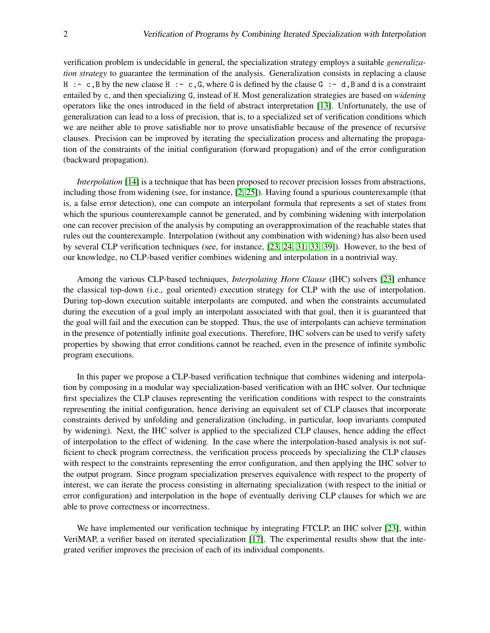verification problem is undecidable in general, the specialization strategy employs a suitable *generalization strategy* to guarantee the termination of the analysis. Generalization consists in replacing a clause H :- c, B by the new clause H :- c, G, where G is defined by the clause G :- d, B and d is a constraint entailed by c, and then specializing G, instead of H. Most generalization strategies are based on *widening* operators like the ones introduced in the field of abstract interpretation [\[13\]](#page-13-5). Unfortunately, the use of generalization can lead to a loss of precision, that is, to a specialized set of verification conditions which we are neither able to prove satisfiable nor to prove unsatisfiable because of the presence of recursive clauses. Precision can be improved by iterating the specialization process and alternating the propagation of the constraints of the initial configuration (forward propagation) and of the error configuration (backward propagation).

*Interpolation* [\[14\]](#page-13-6) is a technique that has been proposed to recover precision losses from abstractions, including those from widening (see, for instance, [\[2,](#page-13-7) [25\]](#page-14-7)). Having found a spurious counterexample (that is, a false error detection), one can compute an interpolant formula that represents a set of states from which the spurious counterexample cannot be generated, and by combining widening with interpolation one can recover precision of the analysis by computing an overapproximation of the reachable states that rules out the counterexample. Interpolation (without any combination with widening) has also been used by several CLP verification techniques (see, for instance, [\[23,](#page-14-6) [24,](#page-14-1) [31,](#page-14-8) [33,](#page-14-9) [39\]](#page-15-0)). However, to the best of our knowledge, no CLP-based verifier combines widening and interpolation in a nontrivial way.

Among the various CLP-based techniques, *Interpolating Horn Clause* (IHC) solvers [\[23\]](#page-14-6) enhance the classical top-down (i.e., goal oriented) execution strategy for CLP with the use of interpolation. During top-down execution suitable interpolants are computed, and when the constraints accumulated during the execution of a goal imply an interpolant associated with that goal, then it is guaranteed that the goal will fail and the execution can be stopped. Thus, the use of interpolants can achieve termination in the presence of potentially infinite goal executions. Therefore, IHC solvers can be used to verify safety properties by showing that error conditions cannot be reached, even in the presence of infinite symbolic program executions.

In this paper we propose a CLP-based verification technique that combines widening and interpolation by composing in a modular way specialization-based verification with an IHC solver. Our technique first specializes the CLP clauses representing the verification conditions with respect to the constraints representing the initial configuration, hence deriving an equivalent set of CLP clauses that incorporate constraints derived by unfolding and generalization (including, in particular, loop invariants computed by widening). Next, the IHC solver is applied to the specialized CLP clauses, hence adding the effect of interpolation to the effect of widening. In the case where the interpolation-based analysis is not sufficient to check program correctness, the verification process proceeds by specializing the CLP clauses with respect to the constraints representing the error configuration, and then applying the IHC solver to the output program. Since program specialization preserves equivalence with respect to the property of interest, we can iterate the process consisting in alternating specialization (with respect to the initial or error configuration) and interpolation in the hope of eventually deriving CLP clauses for which we are able to prove correctness or incorrectness.

We have implemented our verification technique by integrating FTCLP, an IHC solver [\[23\]](#page-14-6), within VeriMAP, a verifier based on iterated specialization [\[17\]](#page-13-8). The experimental results show that the integrated verifier improves the precision of each of its individual components.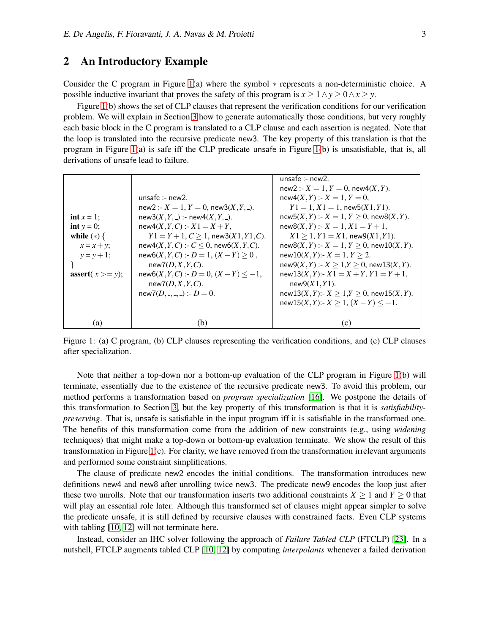## <span id="page-2-1"></span>2 An Introductory Example

Consider the C program in Figure [1\(](#page-2-0)a) where the symbol ∗ represents a non-deterministic choice. A possible inductive invariant that proves the safety of this program is  $x \ge 1 \land y \ge 0 \land x \ge y$ .

Figure [1\(](#page-2-0)b) shows the set of CLP clauses that represent the verification conditions for our verification problem. We will explain in Section [3](#page-4-0) how to generate automatically those conditions, but very roughly each basic block in the C program is translated to a CLP clause and each assertion is negated. Note that the loop is translated into the recursive predicate new3. The key property of this translation is that the program in Figure [1\(](#page-2-0)a) is safe iff the CLP predicate unsafe in Figure [1\(](#page-2-0)b) is unsatisfiable, that is, all derivations of unsafe lead to failure.

|                    |                                                | unsafe :- $new2$ .                                |
|--------------------|------------------------------------------------|---------------------------------------------------|
|                    |                                                | new2 :- $X = 1, Y = 0$ , new4 $(X, Y)$ .          |
|                    | unsafe :- $new2$ .                             | $new4(X, Y) : X = 1, Y = 0$                       |
|                    | new2 :- $X = 1, Y = 0$ , new3 $(X, Y, )$ .     | $Y1 = 1, X1 = 1$ , new5(X1, Y1).                  |
| $int x = 1$ ;      | $new3(X, Y, )$ :- new4 $(X, Y, )$ .            | $new5(X, Y) : X = 1, Y > 0$ , $new8(X, Y)$ .      |
| int $y = 0$ ;      | $new4(X, Y, C) : X1 = X + Y$ ,                 | $new8(X, Y) : X = 1, X1 = Y + 1,$                 |
| while $(*)$ {      | $Y1 = Y + 1, C > 1$ , new3(X1, Y1, C).         | $X1 > 1, Y1 = X1$ , new9(X1,Y1).                  |
| $x = x + y$ ;      | $new4(X, Y, C) : C \leq 0$ , $new6(X, Y, C)$ . | $new8(X, Y) : X = 1, Y > 0$ , $new10(X, Y)$ .     |
| $y = y + 1$ ;      | $new6(X, Y, C) : D = 1, (X - Y) \ge 0$ ,       | $new10(X, Y)$ :- $X = 1, Y > 2$ .                 |
|                    | $new7(D, X, Y, C)$ .                           | $new9(X, Y) : X \ge 1, Y \ge 0$ , $new13(X, Y)$ . |
| assert $(x >= y);$ | $new6(X, Y, C) : D = 0, (X - Y) \le -1,$       | $new13(X, Y)$ :- $X1 = X + Y$ , $Y1 = Y + 1$ ,    |
|                    | $new7(D, X, Y, C)$ .                           | $new9(X1, Y1)$ .                                  |
|                    | new7 $(D, , )$ :- $D = 0$ .                    | new13(X, Y):- $X \ge 1, Y \ge 0$ , new15(X, Y).   |
|                    |                                                | $new15(X, Y)$ :- $X \ge 1$ , $(X - Y) \le -1$ .   |
|                    |                                                |                                                   |
| (a)                | (b)                                            | (c)                                               |

<span id="page-2-0"></span>Figure 1: (a) C program, (b) CLP clauses representing the verification conditions, and (c) CLP clauses after specialization.

Note that neither a top-down nor a bottom-up evaluation of the CLP program in Figure [1\(](#page-2-0)b) will terminate, essentially due to the existence of the recursive predicate new3. To avoid this problem, our method performs a transformation based on *program specialization* [\[16\]](#page-13-1). We postpone the details of this transformation to Section [3,](#page-4-0) but the key property of this transformation is that it is *satisfiabilitypreserving*. That is, unsafe is satisfiable in the input program iff it is satisfiable in the transformed one. The benefits of this transformation come from the addition of new constraints (e.g., using *widening* techniques) that might make a top-down or bottom-up evaluation terminate. We show the result of this transformation in Figure [1\(](#page-2-0)c). For clarity, we have removed from the transformation irrelevant arguments and performed some constraint simplifications.

The clause of predicate new2 encodes the initial conditions. The transformation introduces new definitions new4 and new8 after unrolling twice new3. The predicate new9 encodes the loop just after these two unrolls. Note that our transformation inserts two additional constraints  $X \geq 1$  and  $Y \geq 0$  that will play an essential role later. Although this transformed set of clauses might appear simpler to solve the predicate unsafe, it is still defined by recursive clauses with constrained facts. Even CLP systems with tabling [\[10,](#page-13-9) [12\]](#page-13-10) will not terminate here.

Instead, consider an IHC solver following the approach of *Failure Tabled CLP* (FTCLP) [\[23\]](#page-14-6). In a nutshell, FTCLP augments tabled CLP [\[10,](#page-13-9) [12\]](#page-13-10) by computing *interpolants* whenever a failed derivation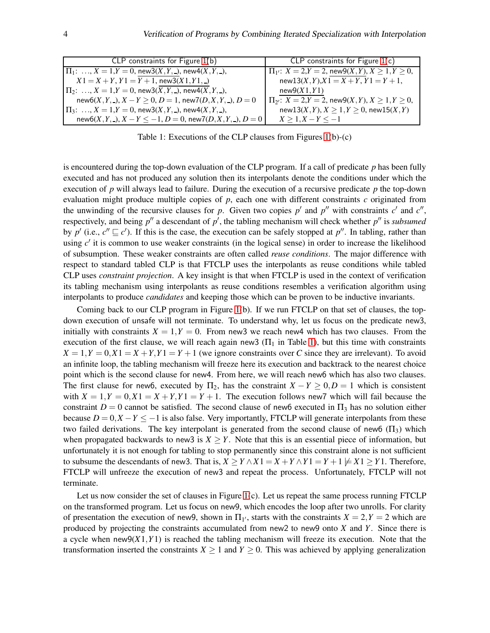| CLP constraints for Figure $1(b)$                                               | CLP constraints for Figure $1(c)$                               |
|---------------------------------------------------------------------------------|-----------------------------------------------------------------|
| $\Pi_1: \ldots, X = 1, Y = 0$ , new $3(X, Y, \cdot)$ , new $4(X, Y, \cdot)$ ,   | $\Pi_{1'}$ : $X = 2, Y = 2$ , new $9(X, Y), X \ge 1, Y \ge 0$ , |
| $X1 = X + Y, Y1 = Y + 1$ , new 3(X1, Y1, )                                      | $new13(X, Y), X1 = X + Y, Y1 = Y + 1,$                          |
| $\Pi_2: \ldots, X = 1, Y = 0$ , new $3(X, Y, \ldots)$ , new $4(X, Y, \ldots)$ , | new9(X1, Y1)                                                    |
| $new6(X, Y, \_), X - Y \geq 0, D = 1, new7(D, X, Y, \_), D = 0$                 | $\Pi_{2'}$ : $X = 2, Y = 2$ , new $9(X, Y), X \ge 1, Y \ge 0$ , |
| $\Pi_3: \ldots, X = 1, Y = 0$ , new $3(X, Y, \ldots)$ , new $4(X, Y, \ldots)$ , | $new13(X, Y), X \ge 1, Y \ge 0$ , $new15(X, Y)$                 |
| $new6(X, Y, \cdot), X - Y \leq -1, D = 0, new7(D, X, Y, \cdot), D = 0$          | $X \geq 1, X - Y \leq -1$                                       |

<span id="page-3-0"></span>Table 1: Executions of the CLP clauses from Figures [1\(](#page-2-0)b)-(c)

is encountered during the top-down evaluation of the CLP program. If a call of predicate *p* has been fully executed and has not produced any solution then its interpolants denote the conditions under which the execution of *p* will always lead to failure. During the execution of a recursive predicate *p* the top-down evaluation might produce multiple copies of *p*, each one with different constraints *c* originated from the unwinding of the recursive clauses for *p*. Given two copies  $p'$  and  $p''$  with constraints  $c'$  and  $c''$ , respectively, and being  $p''$  a descendant of  $p'$ , the tabling mechanism will check whether  $p''$  is *subsumed* by  $p'$  (i.e.,  $c'' \sqsubseteq c'$ ). If this is the case, the execution can be safely stopped at  $p''$ . In tabling, rather than using c' it is common to use weaker constraints (in the logical sense) in order to increase the likelihood of subsumption. These weaker constraints are often called *reuse conditions*. The major difference with respect to standard tabled CLP is that FTCLP uses the interpolants as reuse conditions while tabled CLP uses *constraint projection*. A key insight is that when FTCLP is used in the context of verification its tabling mechanism using interpolants as reuse conditions resembles a verification algorithm using interpolants to produce *candidates* and keeping those which can be proven to be inductive invariants.

Coming back to our CLP program in Figure [1\(](#page-2-0)b). If we run FTCLP on that set of clauses, the topdown execution of unsafe will not terminate. To understand why, let us focus on the predicate new3, initially with constraints  $X = 1, Y = 0$ . From new3 we reach new4 which has two clauses. From the execution of the first clause, we will reach again new3  $(\Pi_1$  in Table [1\)](#page-3-0), but this time with constraints  $X = 1, Y = 0, X1 = X + Y, Y1 = Y + 1$  (we ignore constraints over *C* since they are irrelevant). To avoid an infinite loop, the tabling mechanism will freeze here its execution and backtrack to the nearest choice point which is the second clause for new4. From here, we will reach new6 which has also two clauses. The first clause for new6, executed by  $\Pi_2$ , has the constraint  $X - Y \geq 0, D = 1$  which is consistent with  $X = 1, Y = 0, X1 = X + Y, Y1 = Y + 1$ . The execution follows new7 which will fail because the constraint  $D = 0$  cannot be satisfied. The second clause of new6 executed in  $\Pi_3$  has no solution either because  $D = 0, X - Y \le -1$  is also false. Very importantly, FTCLP will generate interpolants from these two failed derivations. The key interpolant is generated from the second clause of new6 ( $\Pi_3$ ) which when propagated backwards to new3 is  $X \geq Y$ . Note that this is an essential piece of information, but unfortunately it is not enough for tabling to stop permanently since this constraint alone is not sufficient to subsume the descendants of new3. That is,  $X \geq Y \wedge X1 = X + Y \wedge Y1 = Y + 1 \not\models X1 \geq Y1$ . Therefore, FTCLP will unfreeze the execution of new3 and repeat the process. Unfortunately, FTCLP will not terminate.

Let us now consider the set of clauses in Figure [1\(](#page-2-0)c). Let us repeat the same process running FTCLP on the transformed program. Let us focus on new9, which encodes the loop after two unrolls. For clarity of presentation the execution of new9, shown in  $\Pi_{1'}$ , starts with the constraints  $X = 2, Y = 2$  which are produced by projecting the constraints accumulated from new2 to new9 onto *X* and *Y*. Since there is a cycle when  $new9(X1,Y1)$  is reached the tabling mechanism will freeze its execution. Note that the transformation inserted the constraints  $X \ge 1$  and  $Y \ge 0$ . This was achieved by applying generalization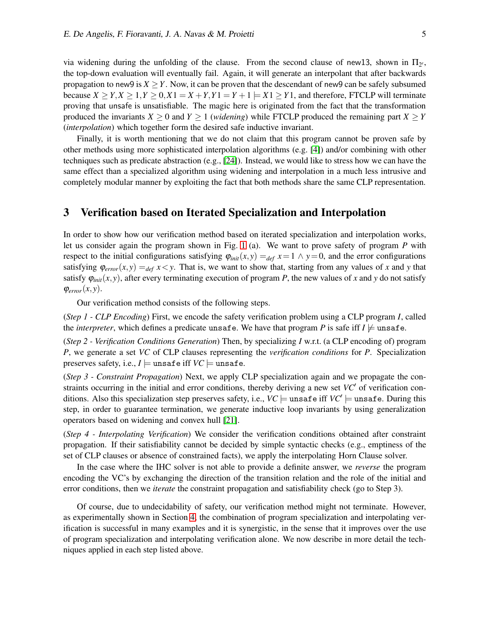via widening during the unfolding of the clause. From the second clause of new13, shown in  $\Pi_{2'}$ , the top-down evaluation will eventually fail. Again, it will generate an interpolant that after backwards propagation to new9 is  $X > Y$ . Now, it can be proven that the descendant of new9 can be safely subsumed because  $X \ge Y, X \ge 1, Y \ge 0, X1 = X + Y, Y1 = Y + 1 = X1 \ge Y1$ , and therefore, FTCLP will terminate proving that unsafe is unsatisfiable. The magic here is originated from the fact that the transformation produced the invariants  $X \ge 0$  and  $Y \ge 1$  (*widening*) while FTCLP produced the remaining part  $X \ge Y$ (*interpolation*) which together form the desired safe inductive invariant.

Finally, it is worth mentioning that we do not claim that this program cannot be proven safe by other methods using more sophisticated interpolation algorithms (e.g. [\[4\]](#page-13-11)) and/or combining with other techniques such as predicate abstraction (e.g., [\[24\]](#page-14-1)). Instead, we would like to stress how we can have the same effect than a specialized algorithm using widening and interpolation in a much less intrusive and completely modular manner by exploiting the fact that both methods share the same CLP representation.

## <span id="page-4-0"></span>3 Verification based on Iterated Specialization and Interpolation

In order to show how our verification method based on iterated specialization and interpolation works, let us consider again the program shown in Fig. [1](#page-2-0) (a). We want to prove safety of program *P* with respect to the initial configurations satisfying  $\varphi_{init}(x, y) =_{def} x = 1 \land y = 0$ , and the error configurations satisfying  $\varphi_{error}(x, y) =_{def} x \lt y$ . That is, we want to show that, starting from any values of *x* and *y* that satisfy  $\varphi_{init}(x, y)$ , after every terminating execution of program *P*, the new values of *x* and *y* do not satisfy  $\varphi_{error}(x, y)$ .

Our verification method consists of the following steps.

(*Step 1 - CLP Encoding*) First, we encode the safety verification problem using a CLP program *I*, called the *interpreter*, which defines a predicate unsafe. We have that program P is safe iff  $I \not\models$  unsafe.

(*Step 2 - Verification Conditions Generation*) Then, by specializing *I* w.r.t. (a CLP encoding of) program *P*, we generate a set *VC* of CLP clauses representing the *verification conditions* for *P*. Specialization preserves safety, i.e.,  $I \models$  unsafe iff  $VC \models$  unsafe.

(*Step 3 - Constraint Propagation*) Next, we apply CLP specialization again and we propagate the constraints occurring in the initial and error conditions, thereby deriving a new set *VC*′ of verification conditions. Also this specialization step preserves safety, i.e.,  $VC \models$  unsafe iff  $VC' \models$  unsafe. During this step, in order to guarantee termination, we generate inductive loop invariants by using generalization operators based on widening and convex hull [\[21\]](#page-14-10).

(*Step 4 - Interpolating Verification*) We consider the verification conditions obtained after constraint propagation. If their satisfiability cannot be decided by simple syntactic checks (e.g., emptiness of the set of CLP clauses or absence of constrained facts), we apply the interpolating Horn Clause solver.

In the case where the IHC solver is not able to provide a definite answer, we *reverse* the program encoding the VC's by exchanging the direction of the transition relation and the role of the initial and error conditions, then we *iterate* the constraint propagation and satisfiability check (go to Step 3).

Of course, due to undecidability of safety, our verification method might not terminate. However, as experimentally shown in Section [4,](#page-9-0) the combination of program specialization and interpolating verification is successful in many examples and it is synergistic, in the sense that it improves over the use of program specialization and interpolating verification alone. We now describe in more detail the techniques applied in each step listed above.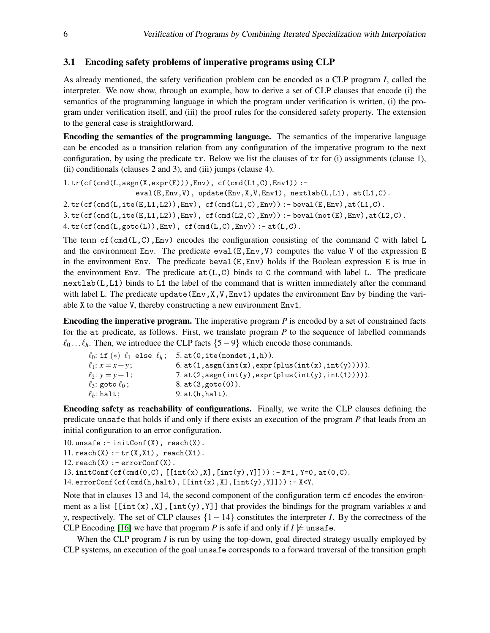### 3.1 Encoding safety problems of imperative programs using CLP

As already mentioned, the safety verification problem can be encoded as a CLP program *I*, called the interpreter. We now show, through an example, how to derive a set of CLP clauses that encode (i) the semantics of the programming language in which the program under verification is written, (i) the program under verification itself, and (iii) the proof rules for the considered safety property. The extension to the general case is straightforward.

Encoding the semantics of the programming language. The semantics of the imperative language can be encoded as a transition relation from any configuration of the imperative program to the next configuration, by using the predicate tr. Below we list the clauses of tr for (i) assignments (clause 1), (ii) conditionals (clauses 2 and 3), and (iii) jumps (clause 4).

 $1. tr(cf(cmd(L,asgn(X,expr(E))),Env), cf(cmd(L1,C),Env1))$ :eval(E,Env,V), update(Env,X,V,Env1), nextlab(L,L1), at(L1,C).  $2. tr(cff(cmd(L,ite(E,L1,L2)),Env), cf(cmd(L1,C),Env)) :- beval(E,Env), at(L1,C).$  $3. tr(cf(cmd(L,ite(E,L1,L2)),Env), cf(cmd(L2,C),Env)) :- beval(not(E),Env), at(L2,C).$  $4. tr(cf(cmd(L,goto(L)),Env), cf(cmd(L,C),Env)) :- at(L,C).$ 

The term  $cf(cmd(L,C),Env)$  encodes the configuration consisting of the command C with label L and the environment Env. The predicate  $eval(E, Env, V)$  computes the value V of the expression E in the environment Env. The predicate beval(E,Env) holds if the Boolean expression E is true in the environment Env. The predicate  $at(L, C)$  binds to C the command with label L. The predicate  $nextlab(L,L1)$  binds to L1 the label of the command that is written immediately after the command with label L. The predicate update  $(Env, X, V, Env1)$  updates the environment Env by binding the variable X to the value V, thereby constructing a new environment Env1.

Encoding the imperative program. The imperative program *P* is encoded by a set of constrained facts for the at predicate, as follows. First, we translate program *P* to the sequence of labelled commands  $\ell_0$ ...  $\ell_h$ . Then, we introduce the CLP facts {5 − 9} which encode those commands.

```
\ell_0: if (*) \ell_1 else \ell_h; 5. at(0, ite(nondet, 1, h)).<br>\ell_1: x = x + y; 6. at(1, asgn(int(x), expr(
\ell_1: x = x + y; 6. at(1,asgn(int(x),expr(plus(int(x),int(y))))).<br>\ell_2: y = y + 1; 7. at(2,asgn(int(y),expr(plus(int(y),int(1))))).
\ell_2: y = y + 1; 7. at(2, asgn(int(y), expr(plus(int(y), int(1))))).<br>\ell_3: goto \ell_0; 8. at(3, goto(0)).
                                     8. at(3, goto(0)).\ell_h: halt; 9. at(h,halt).
```
Encoding safety as reachability of configurations. Finally, we write the CLP clauses defining the predicate unsafe that holds if and only if there exists an execution of the program *P* that leads from an initial configuration to an error configuration.

```
10. unsafe : - initConf(X), reach(X).
11. reach(X) := tr(X,X1), reach(X1).
12. reach(X) := errorConf(X).
13. initConf(cf(cmd(0,C), [[int(x),X], [int(y),Y]])) :-X=1, Y=0, at(0,C).
14. errorConf(cf(cmd(h,halt), [[int(x),X], [int(y),Y]])) : - X<Y.
```
Note that in clauses 13 and 14, the second component of the configuration term cf encodes the environment as a list  $[\int int(x),X],[\int int(y),Y]]$  that provides the bindings for the program variables x and *y*, respectively. The set of CLP clauses {1 − 14} constitutes the interpreter *I*. By the correctness of the CLP Encoding [\[16\]](#page-13-1) we have that program *P* is safe if and only if  $I \not\models$  unsafe.

When the CLP program *I* is run by using the top-down, goal directed strategy usually employed by CLP systems, an execution of the goal unsafe corresponds to a forward traversal of the transition graph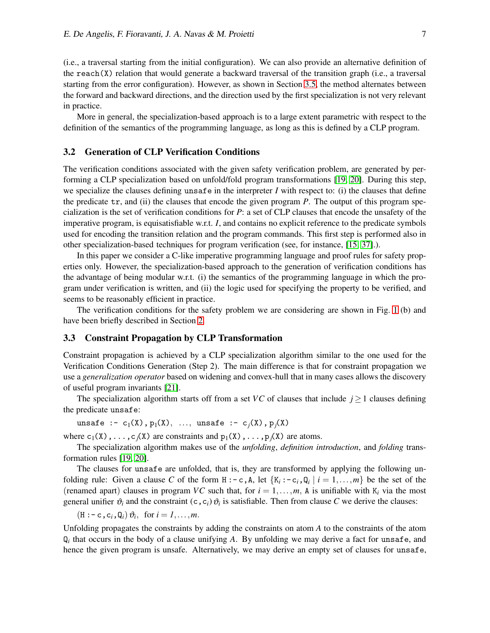(i.e., a traversal starting from the initial configuration). We can also provide an alternative definition of the reach(X) relation that would generate a backward traversal of the transition graph (i.e., a traversal starting from the error configuration). However, as shown in Section [3.5,](#page-9-1) the method alternates between the forward and backward directions, and the direction used by the first specialization is not very relevant in practice.

More in general, the specialization-based approach is to a large extent parametric with respect to the definition of the semantics of the programming language, as long as this is defined by a CLP program.

#### <span id="page-6-0"></span>3.2 Generation of CLP Verification Conditions

The verification conditions associated with the given safety verification problem, are generated by performing a CLP specialization based on unfold/fold program transformations [\[19,](#page-14-11) [20\]](#page-14-12). During this step, we specialize the clauses defining unsafe in the interpreter *I* with respect to: (i) the clauses that define the predicate tr, and (ii) the clauses that encode the given program *P*. The output of this program specialization is the set of verification conditions for *P*: a set of CLP clauses that encode the unsafety of the imperative program, is equisatisfiable w.r.t. *I*, and contains no explicit reference to the predicate symbols used for encoding the transition relation and the program commands. This first step is performed also in other specialization-based techniques for program verification (see, for instance, [\[15,](#page-13-12) [37\]](#page-15-1).).

In this paper we consider a C-like imperative programming language and proof rules for safety properties only. However, the specialization-based approach to the generation of verification conditions has the advantage of being modular w.r.t. (i) the semantics of the programming language in which the program under verification is written, and (ii) the logic used for specifying the property to be verified, and seems to be reasonably efficient in practice.

The verification conditions for the safety problem we are considering are shown in Fig. [1](#page-2-0) (b) and have been briefly described in Section [2.](#page-2-1)

#### <span id="page-6-1"></span>3.3 Constraint Propagation by CLP Transformation

Constraint propagation is achieved by a CLP specialization algorithm similar to the one used for the Verification Conditions Generation (Step 2). The main difference is that for constraint propagation we use a *generalization operator* based on widening and convex-hull that in many cases allows the discovery of useful program invariants [\[21\]](#page-14-10).

The specialization algorithm starts off from a set *VC* of clauses that include  $j \ge 1$  clauses defining the predicate unsafe:

```
unsafe :- c_1(X), p_1(X), ..., unsafe :- c_j(X), p_j(X)
```
where  $c_1(X), \ldots, c_j(X)$  are constraints and  $p_1(X), \ldots, p_j(X)$  are atoms.

The specialization algorithm makes use of the *unfolding*, *definition introduction*, and *folding* transformation rules [\[19,](#page-14-11) [20\]](#page-14-12).

The clauses for unsafe are unfolded, that is, they are transformed by applying the following unfolding rule: Given a clause C of the form  $H : -c$ , A, let  $\{K_i : -c_i, Q_i \mid i = 1, ..., m\}$  be the set of the (renamed apart) clauses in program *VC* such that, for  $i = 1, \ldots, m$ , A is unifiable with  $K_i$  via the most general unifier  $\vartheta_i$  and the constraint  $(c, c_i)$   $\vartheta_i$  is satisfiable. Then from clause *C* we derive the clauses:

 $(H : -c, c_i, Q_i) \vartheta_i$ , for  $i = 1, \ldots, m$ .

Unfolding propagates the constraints by adding the constraints on atom *A* to the constraints of the atom Q*i* that occurs in the body of a clause unifying *A*. By unfolding we may derive a fact for unsafe, and hence the given program is unsafe. Alternatively, we may derive an empty set of clauses for unsafe,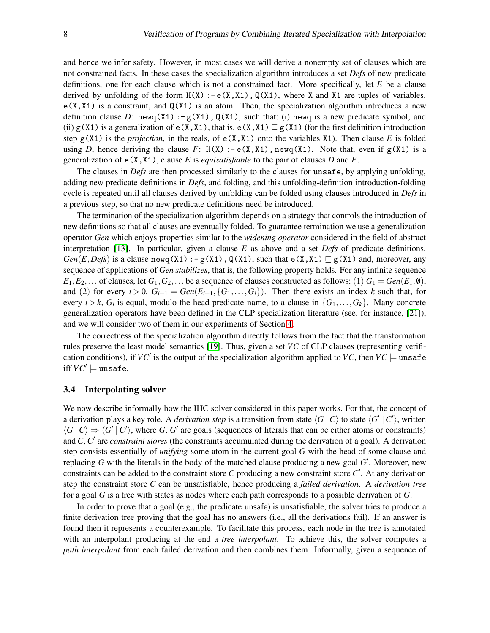and hence we infer safety. However, in most cases we will derive a nonempty set of clauses which are not constrained facts. In these cases the specialization algorithm introduces a set *Defs* of new predicate definitions, one for each clause which is not a constrained fact. More specifically, let *E* be a clause derived by unfolding of the form  $H(X)$ :  $-e(X,X1)$ ,  $Q(X1)$ , where X and X1 are tuples of variables,  $e(X, X1)$  is a constraint, and  $Q(X1)$  is an atom. Then, the specialization algorithm introduces a new definition clause *D*: newq(X1) :-  $g(X1)$ , Q(X1), such that: (i) newq is a new predicate symbol, and (ii) g(X1) is a generalization of  $e(X,X1)$ , that is,  $e(X,X1) \sqsubseteq g(X1)$  (for the first definition introduction step  $g(X1)$  is the *projection*, in the reals, of  $g(X, X1)$  onto the variables X1). Then clause *E* is folded using *D*, hence deriving the clause *F*:  $H(X) := e(X, X1)$ , newq(X1). Note that, even if  $g(X1)$  is a generalization of e(X,X1), clause *E* is *equisatisfiable* to the pair of clauses *D* and *F*.

The clauses in *Defs* are then processed similarly to the clauses for unsafe, by applying unfolding, adding new predicate definitions in *Defs*, and folding, and this unfolding-definition introduction-folding cycle is repeated until all clauses derived by unfolding can be folded using clauses introduced in *Defs* in a previous step, so that no new predicate definitions need be introduced.

The termination of the specialization algorithm depends on a strategy that controls the introduction of new definitions so that all clauses are eventually folded. To guarantee termination we use a generalization operator *Gen* which enjoys properties similar to the *widening operator* considered in the field of abstract interpretation [\[13\]](#page-13-5). In particular, given a clause *E* as above and a set *Defs* of predicate definitions, *Gen*(*E*,*Defs*) is a clause newq(X1) : - g(X1), Q(X1), such that e(X,X1)  $\sqsubseteq$  g(X1) and, moreover, any sequence of applications of *Gen stabilizes*, that is, the following property holds. For any infinite sequence  $E_1, E_2, \ldots$  of clauses, let  $G_1, G_2, \ldots$  be a sequence of clauses constructed as follows: (1)  $G_1 = Gen(E_1, \emptyset)$ , and (2) for every  $i > 0$ ,  $G_{i+1} = Gen(E_{i+1}, \{G_1, \ldots, G_i\})$ . Then there exists an index *k* such that, for every  $i > k$ ,  $G_i$  is equal, modulo the head predicate name, to a clause in  $\{G_1, \ldots, G_k\}$ . Many concrete generalization operators have been defined in the CLP specialization literature (see, for instance, [\[21\]](#page-14-10)), and we will consider two of them in our experiments of Section [4.](#page-9-0)

The correctness of the specialization algorithm directly follows from the fact that the transformation rules preserve the least model semantics [\[19\]](#page-14-11). Thus, given a set *VC* of CLP clauses (representing verification conditions), if  $VC'$  is the output of the specialization algorithm applied to  $VC$ , then  $VC$   $=$  unsafe  $\mathrm{ifif}\, VC' \models \mathtt{unsafe}.$ 

#### <span id="page-7-0"></span>3.4 Interpolating solver

We now describe informally how the IHC solver considered in this paper works. For that, the concept of a derivation plays a key role. A *derivation step* is a transition from state  $\langle G | C \rangle$  to state  $\langle G' | C' \rangle$ , written  $\langle G | C \rangle \Rightarrow \langle G' | C' \rangle$ , where *G*, *G'* are goals (sequences of literals that can be either atoms or constraints) and *C*, *C'* are *constraint stores* (the constraints accumulated during the derivation of a goal). A derivation step consists essentially of *unifying* some atom in the current goal *G* with the head of some clause and replacing *G* with the literals in the body of the matched clause producing a new goal *G* ′ . Moreover, new constraints can be added to the constraint store *C* producing a new constraint store *C* ′ . At any derivation step the constraint store *C* can be unsatisfiable, hence producing a *failed derivation*. A *derivation tree* for a goal *G* is a tree with states as nodes where each path corresponds to a possible derivation of *G*.

In order to prove that a goal (e.g., the predicate unsafe) is unsatisfiable, the solver tries to produce a finite derivation tree proving that the goal has no answers (i.e., all the derivations fail). If an answer is found then it represents a counterexample. To facilitate this process, each node in the tree is annotated with an interpolant producing at the end a *tree interpolant*. To achieve this, the solver computes a *path interpolant* from each failed derivation and then combines them. Informally, given a sequence of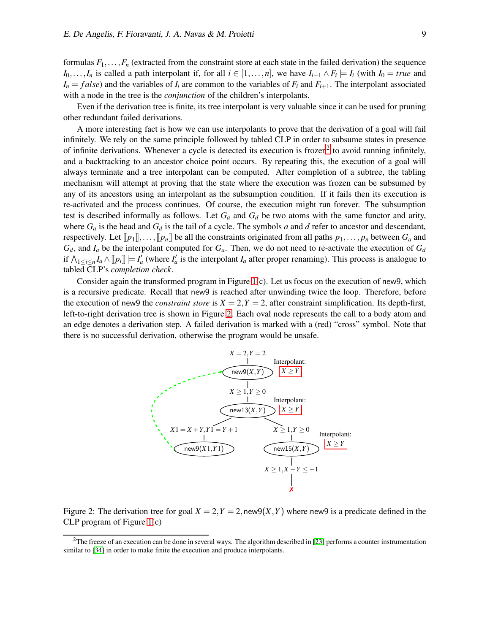formulas  $F_1, \ldots, F_n$  (extracted from the constraint store at each state in the failed derivation) the sequence *I*<sub>0</sub>,...,*I*<sub>*n*</sub> is called a path interpolant if, for all *i* ∈ [1,...,*n*], we have *I*<sub>*i*−1</sub> ∧ *F*<sub>*i*</sub>  $\models$  *I*<sub>*i*</sub> (with *I*<sub>0</sub> = *true* and  $I_n = false$  and the variables of  $I_i$  are common to the variables of  $F_i$  and  $F_{i+1}$ . The interpolant associated with a node in the tree is the *conjunction* of the children's interpolants.

Even if the derivation tree is finite, its tree interpolant is very valuable since it can be used for pruning other redundant failed derivations.

A more interesting fact is how we can use interpolants to prove that the derivation of a goal will fail infinitely. We rely on the same principle followed by tabled CLP in order to subsume states in presence of infinite derivations. Whenever a cycle is detected its execution is frozen<sup>[2](#page-8-0)</sup> to avoid running infinitely, and a backtracking to an ancestor choice point occurs. By repeating this, the execution of a goal will always terminate and a tree interpolant can be computed. After completion of a subtree, the tabling mechanism will attempt at proving that the state where the execution was frozen can be subsumed by any of its ancestors using an interpolant as the subsumption condition. If it fails then its execution is re-activated and the process continues. Of course, the execution might run forever. The subsumption test is described informally as follows. Let *G<sup>a</sup>* and *G<sup>d</sup>* be two atoms with the same functor and arity, where  $G_a$  is the head and  $G_d$  is the tail of a cycle. The symbols *a* and *d* refer to ancestor and descendant, respectively. Let  $[[p_1]]\ldots, [[p_n]]$  be all the constraints originated from all paths  $p_1,\ldots, p_n$  between  $G_a$  and  $G_d$ , and  $I_a$  be the interpolant computed for  $G_a$ . Then, we do not need to re-activate the execution of  $G_d$ if  $\bigwedge_{1 \le i \le n} I_a \wedge [p_i] \models I'_a$  (where  $I'_a$  is the interpolant  $I_a$  after proper renaming). This process is analogue to tabled CLP's *completion check*.

Consider again the transformed program in Figure [1\(](#page-2-0)c). Let us focus on the execution of new9, which is a recursive predicate. Recall that new9 is reached after unwinding twice the loop. Therefore, before the execution of new9 the *constraint store* is  $X = 2, Y = 2$ , after constraint simplification. Its depth-first, left-to-right derivation tree is shown in Figure [2.](#page-8-1) Each oval node represents the call to a body atom and an edge denotes a derivation step. A failed derivation is marked with a (red) "cross" symbol. Note that there is no successful derivation, otherwise the program would be unsafe.



<span id="page-8-1"></span>Figure 2: The derivation tree for goal  $X = 2, Y = 2$ , new  $9(X, Y)$  where new 9 is a predicate defined in the CLP program of Figure [1\(](#page-2-0)c)

<span id="page-8-0"></span> $2$ The freeze of an execution can be done in several ways. The algorithm described in [\[23\]](#page-14-6) performs a counter instrumentation similar to [\[34\]](#page-14-13) in order to make finite the execution and produce interpolants.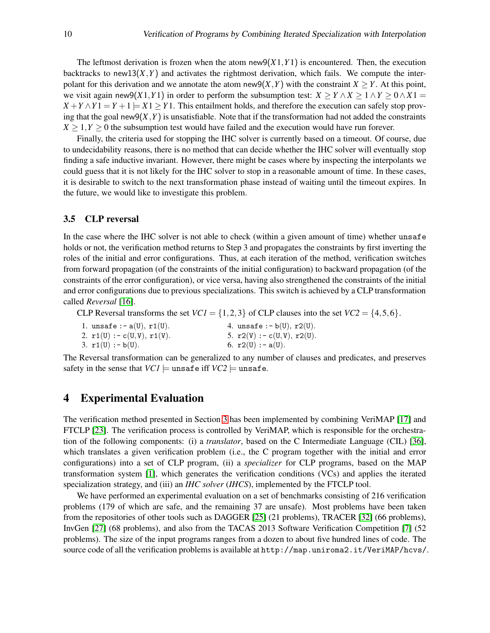The leftmost derivation is frozen when the atom new $9(X1, Y1)$  is encountered. Then, the execution backtracks to new13 $(X, Y)$  and activates the rightmost derivation, which fails. We compute the interpolant for this derivation and we annotate the atom new $9(X, Y)$  with the constraint  $X \geq Y$ . At this point, we visit again new9(*X*1,*Y*1) in order to perform the subsumption test:  $X \ge Y \wedge X \ge 1 \wedge Y \ge 0 \wedge X1 =$  $X + Y \wedge Y1 = Y + 1 = X1 \geq Y1$ . This entailment holds, and therefore the execution can safely stop proving that the goal new $9(X, Y)$  is unsatisfiable. Note that if the transformation had not added the constraints  $X \geq 1, Y \geq 0$  the subsumption test would have failed and the execution would have run forever.

Finally, the criteria used for stopping the IHC solver is currently based on a timeout. Of course, due to undecidability reasons, there is no method that can decide whether the IHC solver will eventually stop finding a safe inductive invariant. However, there might be cases where by inspecting the interpolants we could guess that it is not likely for the IHC solver to stop in a reasonable amount of time. In these cases, it is desirable to switch to the next transformation phase instead of waiting until the timeout expires. In the future, we would like to investigate this problem.

#### <span id="page-9-1"></span>3.5 CLP reversal

In the case where the IHC solver is not able to check (within a given amount of time) whether unsafe holds or not, the verification method returns to Step 3 and propagates the constraints by first inverting the roles of the initial and error configurations. Thus, at each iteration of the method, verification switches from forward propagation (of the constraints of the initial configuration) to backward propagation (of the constraints of the error configuration), or vice versa, having also strengthened the constraints of the initial and error configurations due to previous specializations. This switch is achieved by a CLP transformation called *Reversal* [\[16\]](#page-13-1).

CLP Reversal transforms the set  $VC1 = \{1,2,3\}$  of CLP clauses into the set  $VC2 = \{4,5,6\}$ .

| 1. unsafe :- $a(U)$ , $r1(U)$ . | 4. unsafe : $-b(U)$ , $r2(U)$ . |
|---------------------------------|---------------------------------|
| 2. $r1(U) := c(U, V), r1(V).$   | 5. $r2(V) := c(U, V), r2(U).$   |
| 3. $r1(U) := b(U)$ .            | 6. $r2(U)$ : - a(U).            |

The Reversal transformation can be generalized to any number of clauses and predicates, and preserves safety in the sense that  $VCI \models$  unsafe iff  $VC2 \models$  unsafe.

## <span id="page-9-0"></span>4 Experimental Evaluation

The verification method presented in Section [3](#page-4-0) has been implemented by combining VeriMAP [\[17\]](#page-13-8) and FTCLP [\[23\]](#page-14-6). The verification process is controlled by VeriMAP, which is responsible for the orchestration of the following components: (i) a *translator*, based on the C Intermediate Language (CIL) [\[36\]](#page-14-14), which translates a given verification problem (i.e., the C program together with the initial and error configurations) into a set of CLP program, (ii) a *specializer* for CLP programs, based on the MAP transformation system [\[1\]](#page-13-13), which generates the verification conditions (VCs) and applies the iterated specialization strategy, and (iii) an *IHC solver* (*IHCS*), implemented by the FTCLP tool.

We have performed an experimental evaluation on a set of benchmarks consisting of 216 verification problems (179 of which are safe, and the remaining 37 are unsafe). Most problems have been taken from the repositories of other tools such as DAGGER [\[25\]](#page-14-7) (21 problems), TRACER [\[32\]](#page-14-2) (66 problems), InvGen [\[27\]](#page-14-15) (68 problems), and also from the TACAS 2013 Software Verification Competition [\[7\]](#page-13-14) (52 problems). The size of the input programs ranges from a dozen to about five hundred lines of code. The source code of all the verification problems is available at http://map.uniroma2.it/VeriMAP/hcvs/.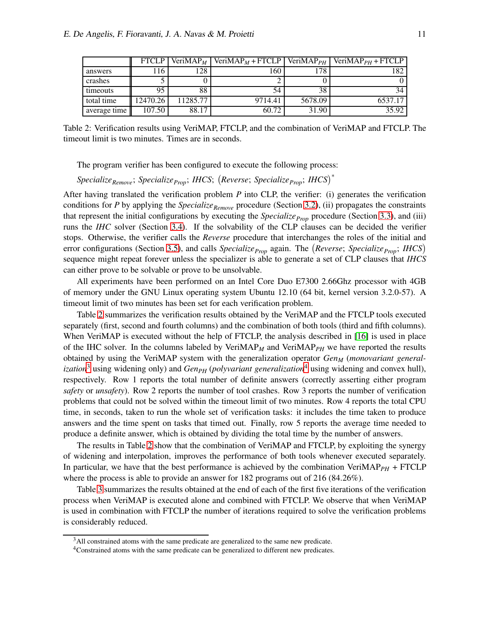|              | <b>FTCLP</b> | VeriMAP <sub>M</sub> | VeriMAP <sub>M</sub> + FTCLP   VeriMAP <sub>PH</sub> |         | $VeriMAPPH + FTCLP$ |
|--------------|--------------|----------------------|------------------------------------------------------|---------|---------------------|
| answers      | .16          | 28                   | 160                                                  | 178     | 182                 |
| crashes      |              |                      |                                                      |         |                     |
| timeouts     | 95           | 88                   | 54                                                   | 38      | 34                  |
| total time   | 12470.26     | 11285.77             | 9714.41                                              | 5678.09 | 6537.17             |
| average time | 107.50       | 88.17                | 60.72                                                | 31.90   | 35.92               |

<span id="page-10-0"></span>Table 2: Verification results using VeriMAP, FTCLP, and the combination of VeriMAP and FTCLP. The timeout limit is two minutes. Times are in seconds.

The program verifier has been configured to execute the following process:

*SpecializeRemove*; *SpecializeProp*; *IHCS*; *Reverse*; *SpecializeProp*; *IHCS*<sup>∗</sup>

After having translated the verification problem *P* into CLP, the verifier: (i) generates the verification conditions for *P* by applying the *SpecializeRemove* procedure (Section [3.2\)](#page-6-0), (ii) propagates the constraints that represent the initial configurations by executing the *Specialize*<sub>*Prop*</sub> procedure (Section [3.3\)](#page-6-1), and (iii) runs the *IHC* solver (Section [3.4\)](#page-7-0). If the solvability of the CLP clauses can be decided the verifier stops. Otherwise, the verifier calls the *Reverse* procedure that interchanges the roles of the initial and error configurations (Section [3.5\)](#page-9-1), and calls *SpecializeProp* again. The *Reverse*; *SpecializeProp*; *IHCS* sequence might repeat forever unless the specializer is able to generate a set of CLP clauses that *IHCS* can either prove to be solvable or prove to be unsolvable.

All experiments have been performed on an Intel Core Duo E7300 2.66Ghz processor with 4GB of memory under the GNU Linux operating system Ubuntu 12.10 (64 bit, kernel version 3.2.0-57). A timeout limit of two minutes has been set for each verification problem.

Table [2](#page-10-0) summarizes the verification results obtained by the VeriMAP and the FTCLP tools executed separately (first, second and fourth columns) and the combination of both tools (third and fifth columns). When VeriMAP is executed without the help of FTCLP, the analysis described in [\[16\]](#page-13-1) is used in place of the IHC solver. In the columns labeled by VeriMAP*<sup>M</sup>* and VeriMAP*PH* we have reported the results obtained by using the VeriMAP system with the generalization operator *Gen<sup>M</sup>* (*monovariant generalization*<sup>[3](#page-10-1)</sup> using widening only) and *Gen<sub>PH</sub>* (*polyvariant generalization*<sup>[4](#page-10-2)</sup> using widening and convex hull), respectively. Row 1 reports the total number of definite answers (correctly asserting either program *safety* or *unsafety*). Row 2 reports the number of tool crashes. Row 3 reports the number of verification problems that could not be solved within the timeout limit of two minutes. Row 4 reports the total CPU time, in seconds, taken to run the whole set of verification tasks: it includes the time taken to produce answers and the time spent on tasks that timed out. Finally, row 5 reports the average time needed to produce a definite answer, which is obtained by dividing the total time by the number of answers.

The results in Table [2](#page-10-0) show that the combination of VeriMAP and FTCLP, by exploiting the synergy of widening and interpolation, improves the performance of both tools whenever executed separately. In particular, we have that the best performance is achieved by the combination VeriMAP<sub>*PH*</sub> + FTCLP where the process is able to provide an answer for 182 programs out of 216 (84.26%).

Table [3](#page-11-0) summarizes the results obtained at the end of each of the first five iterations of the verification process when VeriMAP is executed alone and combined with FTCLP. We observe that when VeriMAP is used in combination with FTCLP the number of iterations required to solve the verification problems is considerably reduced.

<sup>&</sup>lt;sup>3</sup>All constrained atoms with the same predicate are generalized to the same new predicate.

<span id="page-10-2"></span><span id="page-10-1"></span><sup>4</sup>Constrained atoms with the same predicate can be generalized to different new predicates.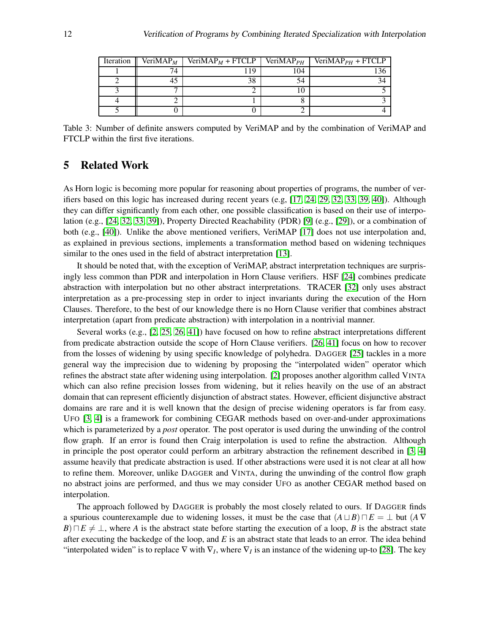| Iteration | VeriMAP <sub>M</sub> | $VeriMAPM + FTCLP$ | VeriMAP $_{PH}$ | $VeriMAPPH + FTCLP$ |
|-----------|----------------------|--------------------|-----------------|---------------------|
|           | 74                   | 19                 | 104             |                     |
|           |                      | 38                 | 54              |                     |
|           |                      |                    |                 |                     |
|           |                      |                    |                 |                     |
|           |                      |                    |                 |                     |

<span id="page-11-0"></span>Table 3: Number of definite answers computed by VeriMAP and by the combination of VeriMAP and FTCLP within the first five iterations.

## 5 Related Work

As Horn logic is becoming more popular for reasoning about properties of programs, the number of verifiers based on this logic has increased during recent years (e.g, [\[17,](#page-13-8) [24,](#page-14-1) [29,](#page-14-16) [32,](#page-14-2) [33,](#page-14-9) [39,](#page-15-0) [40\]](#page-15-3)). Although they can differ significantly from each other, one possible classification is based on their use of interpolation (e.g., [\[24,](#page-14-1) [32,](#page-14-2) [33,](#page-14-9) [39\]](#page-15-0)), Property Directed Reachability (PDR) [\[9\]](#page-13-15) (e.g., [\[29\]](#page-14-16)), or a combination of both (e.g., [\[40\]](#page-15-3)). Unlike the above mentioned verifiers, VeriMAP [\[17\]](#page-13-8) does not use interpolation and, as explained in previous sections, implements a transformation method based on widening techniques similar to the ones used in the field of abstract interpretation [\[13\]](#page-13-5).

It should be noted that, with the exception of VeriMAP, abstract interpretation techniques are surprisingly less common than PDR and interpolation in Horn Clause verifiers. HSF [\[24\]](#page-14-1) combines predicate abstraction with interpolation but no other abstract interpretations. TRACER [\[32\]](#page-14-2) only uses abstract interpretation as a pre-processing step in order to inject invariants during the execution of the Horn Clauses. Therefore, to the best of our knowledge there is no Horn Clause verifier that combines abstract interpretation (apart from predicate abstraction) with interpolation in a nontrivial manner.

Several works (e.g., [\[2,](#page-13-7) [25,](#page-14-7) [26,](#page-14-17) [41\]](#page-15-4)) have focused on how to refine abstract interpretations different from predicate abstraction outside the scope of Horn Clause verifiers. [\[26,](#page-14-17) [41\]](#page-15-4) focus on how to recover from the losses of widening by using specific knowledge of polyhedra. DAGGER [\[25\]](#page-14-7) tackles in a more general way the imprecision due to widening by proposing the "interpolated widen" operator which refines the abstract state after widening using interpolation. [\[2\]](#page-13-7) proposes another algorithm called VINTA which can also refine precision losses from widening, but it relies heavily on the use of an abstract domain that can represent efficiently disjunction of abstract states. However, efficient disjunctive abstract domains are rare and it is well known that the design of precise widening operators is far from easy. UFO [\[3,](#page-13-16) [4\]](#page-13-11) is a framework for combining CEGAR methods based on over-and-under approximations which is parameterized by a *post* operator. The post operator is used during the unwinding of the control flow graph. If an error is found then Craig interpolation is used to refine the abstraction. Although in principle the post operator could perform an arbitrary abstraction the refinement described in [\[3,](#page-13-16) [4\]](#page-13-11) assume heavily that predicate abstraction is used. If other abstractions were used it is not clear at all how to refine them. Moreover, unlike DAGGER and VINTA, during the unwinding of the control flow graph no abstract joins are performed, and thus we may consider UFO as another CEGAR method based on interpolation.

The approach followed by DAGGER is probably the most closely related to ours. If DAGGER finds a spurious counterexample due to widening losses, it must be the case that  $(A \sqcup B) \sqcap E = \bot$  but  $(A \nabla$ *B*) $\Box E \neq \bot$ , where *A* is the abstract state before starting the execution of a loop, *B* is the abstract state after executing the backedge of the loop, and *E* is an abstract state that leads to an error. The idea behind "interpolated widen" is to replace  $\nabla$  with  $\nabla_I$ , where  $\nabla_I$  is an instance of the widening up-to [\[28\]](#page-14-18). The key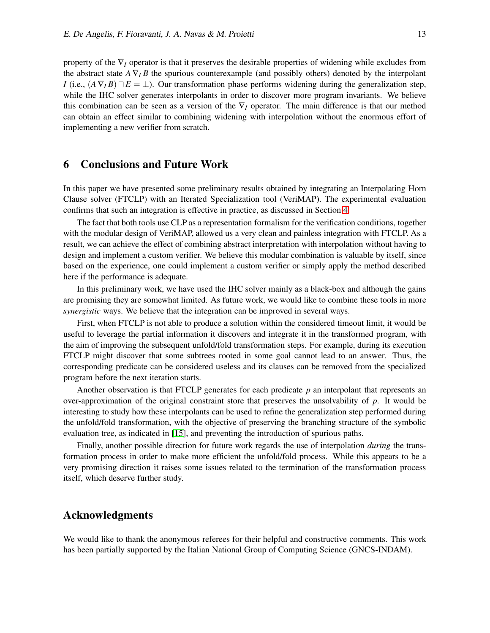property of the  $\nabla$ <sub>*I*</sub> operator is that it preserves the desirable properties of widening while excludes from the abstract state  $A \nabla_I B$  the spurious counterexample (and possibly others) denoted by the interpolant *I* (i.e.,  $(A \nabla I B) \n\Box E = \bot$ ). Our transformation phase performs widening during the generalization step, while the IHC solver generates interpolants in order to discover more program invariants. We believe this combination can be seen as a version of the  $\nabla_I$  operator. The main difference is that our method can obtain an effect similar to combining widening with interpolation without the enormous effort of implementing a new verifier from scratch.

## 6 Conclusions and Future Work

In this paper we have presented some preliminary results obtained by integrating an Interpolating Horn Clause solver (FTCLP) with an Iterated Specialization tool (VeriMAP). The experimental evaluation confirms that such an integration is effective in practice, as discussed in Section [4.](#page-9-0)

The fact that both tools use CLP as a representation formalism for the verification conditions, together with the modular design of VeriMAP, allowed us a very clean and painless integration with FTCLP. As a result, we can achieve the effect of combining abstract interpretation with interpolation without having to design and implement a custom verifier. We believe this modular combination is valuable by itself, since based on the experience, one could implement a custom verifier or simply apply the method described here if the performance is adequate.

In this preliminary work, we have used the IHC solver mainly as a black-box and although the gains are promising they are somewhat limited. As future work, we would like to combine these tools in more *synergistic* ways. We believe that the integration can be improved in several ways.

First, when FTCLP is not able to produce a solution within the considered timeout limit, it would be useful to leverage the partial information it discovers and integrate it in the transformed program, with the aim of improving the subsequent unfold/fold transformation steps. For example, during its execution FTCLP might discover that some subtrees rooted in some goal cannot lead to an answer. Thus, the corresponding predicate can be considered useless and its clauses can be removed from the specialized program before the next iteration starts.

Another observation is that FTCLP generates for each predicate *p* an interpolant that represents an over-approximation of the original constraint store that preserves the unsolvability of *p*. It would be interesting to study how these interpolants can be used to refine the generalization step performed during the unfold/fold transformation, with the objective of preserving the branching structure of the symbolic evaluation tree, as indicated in [\[15\]](#page-13-12), and preventing the introduction of spurious paths.

Finally, another possible direction for future work regards the use of interpolation *during* the transformation process in order to make more efficient the unfold/fold process. While this appears to be a very promising direction it raises some issues related to the termination of the transformation process itself, which deserve further study.

## Acknowledgments

We would like to thank the anonymous referees for their helpful and constructive comments. This work has been partially supported by the Italian National Group of Computing Science (GNCS-INDAM).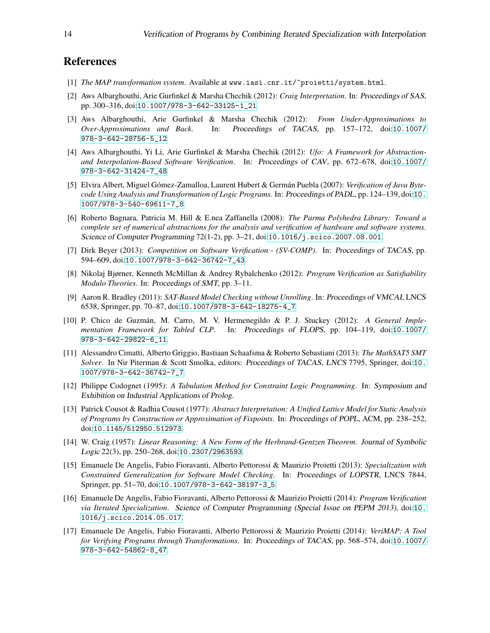## <span id="page-13-13"></span>References

- <span id="page-13-7"></span>[1] *The MAP transformation system*. Available at www.iasi.cnr.it/~proietti/system.html.
- [2] Aws Albarghouthi, Arie Gurfinkel & Marsha Chechik (2012): *Craig Interpretation*. In: Proceedings of SAS, pp. 300–316, doi:[10.1007/978-3-642-33125-1\\_21](http://dx.doi.org/10.1007/978-3-642-33125-1_21).
- <span id="page-13-16"></span>[3] Aws Albarghouthi, Arie Gurfinkel & Marsha Chechik (2012): *From Under-Approximations to Over-Approximations and Back*. In: Proceedings of TACAS, pp. 157–172, doi:[10.1007/](http://dx.doi.org/10.1007/978-3-642-28756-5_12) [978-3-642-28756-5\\_12](http://dx.doi.org/10.1007/978-3-642-28756-5_12).
- <span id="page-13-11"></span>[4] Aws Albarghouthi, Yi Li, Arie Gurfinkel & Marsha Chechik (2012): *Ufo: A Framework for Abstractionand Interpolation-Based Software Verification*. In: Proceedings of CAV, pp. 672–678, doi:[10.1007/](http://dx.doi.org/10.1007/978-3-642-31424-7_48) [978-3-642-31424-7\\_48](http://dx.doi.org/10.1007/978-3-642-31424-7_48).
- <span id="page-13-4"></span>[5] Elvira Albert, Miguel Gómez-Zamalloa, Laurent Hubert & Germán Puebla (2007): *Verification of Java Bytecode Using Analysis and Transformation of Logic Programs*. In: Proceedings of PADL, pp. 124–139, doi:[10.](http://dx.doi.org/10.1007/978-3-540-69611-7_8) [1007/978-3-540-69611-7\\_8](http://dx.doi.org/10.1007/978-3-540-69611-7_8).
- <span id="page-13-2"></span>[6] Roberto Bagnara, Patricia M. Hill & E.nea Zaffanella (2008): *The Parma Polyhedra Library: Toward a complete set of numerical abstractions for the analysis and verification of hardware and software systems*. Science of Computer Programming 72(1-2), pp. 3–21, doi:[10.1016/j.scico.2007.08.001](http://dx.doi.org/10.1016/j.scico.2007.08.001).
- <span id="page-13-14"></span>[7] Dirk Beyer (2013): *Competition on Software Verification - (SV-COMP)*. In: Proceedings of TACAS, pp. 594–609, doi:[10.1007/978-3-642-36742-7\\_43](http://dx.doi.org/10.1007/978-3-642-36742-7_43).
- <span id="page-13-0"></span>[8] Nikolaj Bjørner, Kenneth McMillan & Andrey Rybalchenko (2012): *Program Verification as Satisfiability Modulo Theories*. In: Proceedings of SMT, pp. 3–11.
- <span id="page-13-15"></span>[9] Aaron R. Bradley (2011): *SAT-Based Model Checking without Unrolling*. In: Proceedings of VMCAI, LNCS 6538, Springer, pp. 70–87, doi:[10.1007/978-3-642-18275-4\\_7](http://dx.doi.org/10.1007/978-3-642-18275-4_7).
- <span id="page-13-9"></span>[10] P. Chico de Guzm´an, M. Carro, M. V. Hermenegildo & P. J. Stuckey (2012): *A General Implementation Framework for Tabled CLP*. In: Proceedings of FLOPS, pp. 104–119, doi:[10.1007/](http://dx.doi.org/10.1007/978-3-642-29822-6_11) [978-3-642-29822-6\\_11](http://dx.doi.org/10.1007/978-3-642-29822-6_11).
- <span id="page-13-3"></span>[11] Alessandro Cimatti, Alberto Griggio, Bastiaan Schaafsma & Roberto Sebastiani (2013): *The MathSAT5 SMT Solver*. In Nir Piterman & Scott Smolka, editors: Proceedings of TACAS, LNCS 7795, Springer, doi:[10.](http://dx.doi.org/10.1007/978-3-642-36742-7_7) [1007/978-3-642-36742-7\\_7](http://dx.doi.org/10.1007/978-3-642-36742-7_7).
- <span id="page-13-10"></span>[12] Philippe Codognet (1995): *A Tabulation Method for Constraint Logic Programming*. In: Symposium and Exhibition on Industrial Applications of Prolog.
- <span id="page-13-5"></span>[13] Patrick Cousot & Radhia Cousot (1977): *Abstract Interpretation: A Unified Lattice Model for Static Analysis of Programs by Construction or Approximation of Fixpoints*. In: Proceedings of POPL, ACM, pp. 238–252, doi:[10.1145/512950.512973](http://dx.doi.org/10.1145/512950.512973).
- <span id="page-13-6"></span>[14] W. Craig (1957): *Linear Reasoning: A New Form of the Herbrand-Gentzen Theorem*. Journal of Symbolic Logic 22(3), pp. 250–268, doi:[10.2307/2963593](http://dx.doi.org/10.2307/2963593).
- <span id="page-13-12"></span>[15] Emanuele De Angelis, Fabio Fioravanti, Alberto Pettorossi & Maurizio Proietti (2013): *Specialization with Constrained Generalization for Software Model Checking*. In: Proceedings of LOPSTR, LNCS 7844, Springer, pp. 51–70, doi:[10.1007/978-3-642-38197-3\\_5](http://dx.doi.org/10.1007/978-3-642-38197-3_5).
- <span id="page-13-1"></span>[16] Emanuele De Angelis, Fabio Fioravanti, Alberto Pettorossi & Maurizio Proietti (2014): *Program Verification via Iterated Specialization*. Science of Computer Programming (Special Issue on PEPM 2013), doi:[10.](http://dx.doi.org/10.1016/j.scico.2014.05.017) [1016/j.scico.2014.05.017](http://dx.doi.org/10.1016/j.scico.2014.05.017).
- <span id="page-13-8"></span>[17] Emanuele De Angelis, Fabio Fioravanti, Alberto Pettorossi & Maurizio Proietti (2014): *VeriMAP: A Tool for Verifying Programs through Transformations*. In: Proceedings of TACAS, pp. 568–574, doi:[10.1007/](http://dx.doi.org/10.1007/978-3-642-54862-8_47) [978-3-642-54862-8\\_47](http://dx.doi.org/10.1007/978-3-642-54862-8_47).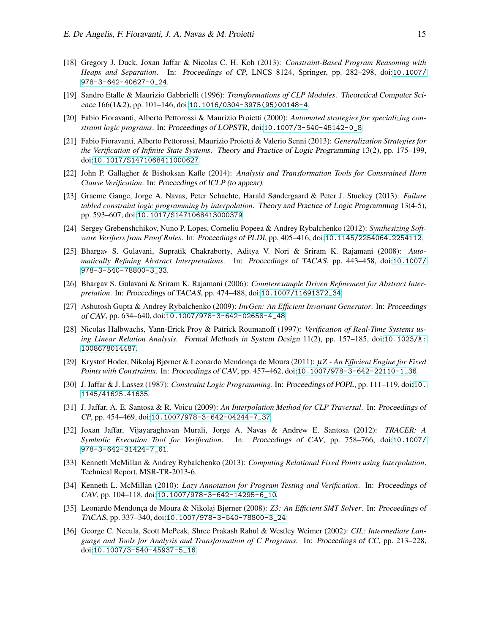- <span id="page-14-3"></span>[18] Gregory J. Duck, Joxan Jaffar & Nicolas C. H. Koh (2013): *Constraint-Based Program Reasoning with Heaps and Separation*. In: Proceedings of CP, LNCS 8124, Springer, pp. 282–298, doi:[10.1007/](http://dx.doi.org/10.1007/978-3-642-40627-0_24) [978-3-642-40627-0\\_24](http://dx.doi.org/10.1007/978-3-642-40627-0_24).
- <span id="page-14-11"></span>[19] Sandro Etalle & Maurizio Gabbrielli (1996): *Transformations of CLP Modules*. Theoretical Computer Science 166(1&2), pp. 101–146, doi:[10.1016/0304-3975\(95\)00148-4](http://dx.doi.org/10.1016/0304-3975(95)00148-4).
- <span id="page-14-12"></span>[20] Fabio Fioravanti, Alberto Pettorossi & Maurizio Proietti (2000): *Automated strategies for specializing constraint logic programs*. In: Proceedings of LOPSTR, doi:[10.1007/3-540-45142-0\\_8](http://dx.doi.org/10.1007/3-540-45142-0_8).
- <span id="page-14-10"></span>[21] Fabio Fioravanti, Alberto Pettorossi, Maurizio Proietti & Valerio Senni (2013): *Generalization Strategies for the Verification of Infinite State Systems*. Theory and Practice of Logic Programming 13(2), pp. 175–199, doi:[10.1017/S1471068411000627](http://dx.doi.org/10.1017/S1471068411000627).
- <span id="page-14-5"></span>[22] John P. Gallagher & Bishoksan Kafle (2014): *Analysis and Transformation Tools for Constrained Horn Clause Verification*. In: Proceedings of ICLP (to appear).
- <span id="page-14-6"></span>[23] Graeme Gange, Jorge A. Navas, Peter Schachte, Harald Søndergaard & Peter J. Stuckey (2013): *Failure tabled constraint logic programming by interpolation*. Theory and Practice of Logic Programming 13(4-5), pp. 593–607, doi:[10.1017/S1471068413000379](http://dx.doi.org/10.1017/S1471068413000379).
- <span id="page-14-1"></span>[24] Sergey Grebenshchikov, Nuno P. Lopes, Corneliu Popeea & Andrey Rybalchenko (2012): *Synthesizing Software Verifiers from Proof Rules*. In: Proceedings of PLDI, pp. 405–416, doi:[10.1145/2254064.2254112](http://dx.doi.org/10.1145/2254064.2254112).
- <span id="page-14-7"></span>[25] Bhargav S. Gulavani, Supratik Chakraborty, Aditya V. Nori & Sriram K. Rajamani (2008): *Automatically Refining Abstract Interpretations*. In: Proceedings of TACAS, pp. 443–458, doi:[10.1007/](http://dx.doi.org/10.1007/978-3-540-78800-3_33) [978-3-540-78800-3\\_33](http://dx.doi.org/10.1007/978-3-540-78800-3_33).
- <span id="page-14-17"></span>[26] Bhargav S. Gulavani & Sriram K. Rajamani (2006): *Counterexample Driven Refinement for Abstract Interpretation*. In: Proceedings of TACAS, pp. 474–488, doi:[10.1007/11691372\\_34](http://dx.doi.org/10.1007/11691372_34).
- <span id="page-14-15"></span>[27] Ashutosh Gupta & Andrey Rybalchenko (2009): *InvGen: An Efficient Invariant Generator*. In: Proceedings of CAV, pp. 634–640, doi:[10.1007/978-3-642-02658-4\\_48](http://dx.doi.org/10.1007/978-3-642-02658-4_48).
- <span id="page-14-18"></span>[28] Nicolas Halbwachs, Yann-Erick Proy & Patrick Roumanoff (1997): *Verification of Real-Time Systems using Linear Relation Analysis*. Formal Methods in System Design 11(2), pp. 157–185, doi:[10.1023/A:](http://dx.doi.org/10.1023/A:1008678014487) [1008678014487](http://dx.doi.org/10.1023/A:1008678014487).
- <span id="page-14-16"></span>[29] Krystof Hoder, Nikolaj Bjørner & Leonardo Mendonça de Moura (2011): µ*Z - An Efficient Engine for Fixed Points with Constraints*. In: Proceedings of CAV, pp. 457–462, doi:[10.1007/978-3-642-22110-1\\_36](http://dx.doi.org/10.1007/978-3-642-22110-1_36).
- <span id="page-14-0"></span>[30] J. Jaffar & J. Lassez (1987): *Constraint Logic Programming*. In: Proceedings of POPL, pp. 111–119, doi:[10.](http://dx.doi.org/10.1145/41625.41635) [1145/41625.41635](http://dx.doi.org/10.1145/41625.41635).
- <span id="page-14-8"></span>[31] J. Jaffar, A. E. Santosa & R. Voicu (2009): *An Interpolation Method for CLP Traversal*. In: Proceedings of CP, pp. 454–469, doi:[10.1007/978-3-642-04244-7\\_37](http://dx.doi.org/10.1007/978-3-642-04244-7_37).
- <span id="page-14-2"></span>[32] Joxan Jaffar, Vijayaraghavan Murali, Jorge A. Navas & Andrew E. Santosa (2012): *TRACER: A Symbolic Execution Tool for Verification*. In: Proceedings of CAV, pp. 758–766, doi:[10.1007/](http://dx.doi.org/10.1007/978-3-642-31424-7_61) [978-3-642-31424-7\\_61](http://dx.doi.org/10.1007/978-3-642-31424-7_61).
- <span id="page-14-9"></span>[33] Kenneth McMillan & Andrey Rybalchenko (2013): *Computing Relational Fixed Points using Interpolation*. Technical Report, MSR-TR-2013-6.
- <span id="page-14-13"></span>[34] Kenneth L. McMillan (2010): *Lazy Annotation for Program Testing and Verification*. In: Proceedings of CAV, pp. 104–118, doi:[10.1007/978-3-642-14295-6\\_10](http://dx.doi.org/10.1007/978-3-642-14295-6_10).
- <span id="page-14-4"></span>[35] Leonardo Mendonça de Moura & Nikolaj Bjørner (2008): *Z3: An Efficient SMT Solver*. In: *Proceedings* of TACAS, pp. 337–340, doi:[10.1007/978-3-540-78800-3\\_24](http://dx.doi.org/10.1007/978-3-540-78800-3_24).
- <span id="page-14-14"></span>[36] George C. Necula, Scott McPeak, Shree Prakash Rahul & Westley Weimer (2002): *CIL: Intermediate Language and Tools for Analysis and Transformation of C Programs*. In: Proceedings of CC, pp. 213–228, doi:[10.1007/3-540-45937-5\\_16](http://dx.doi.org/10.1007/3-540-45937-5_16).